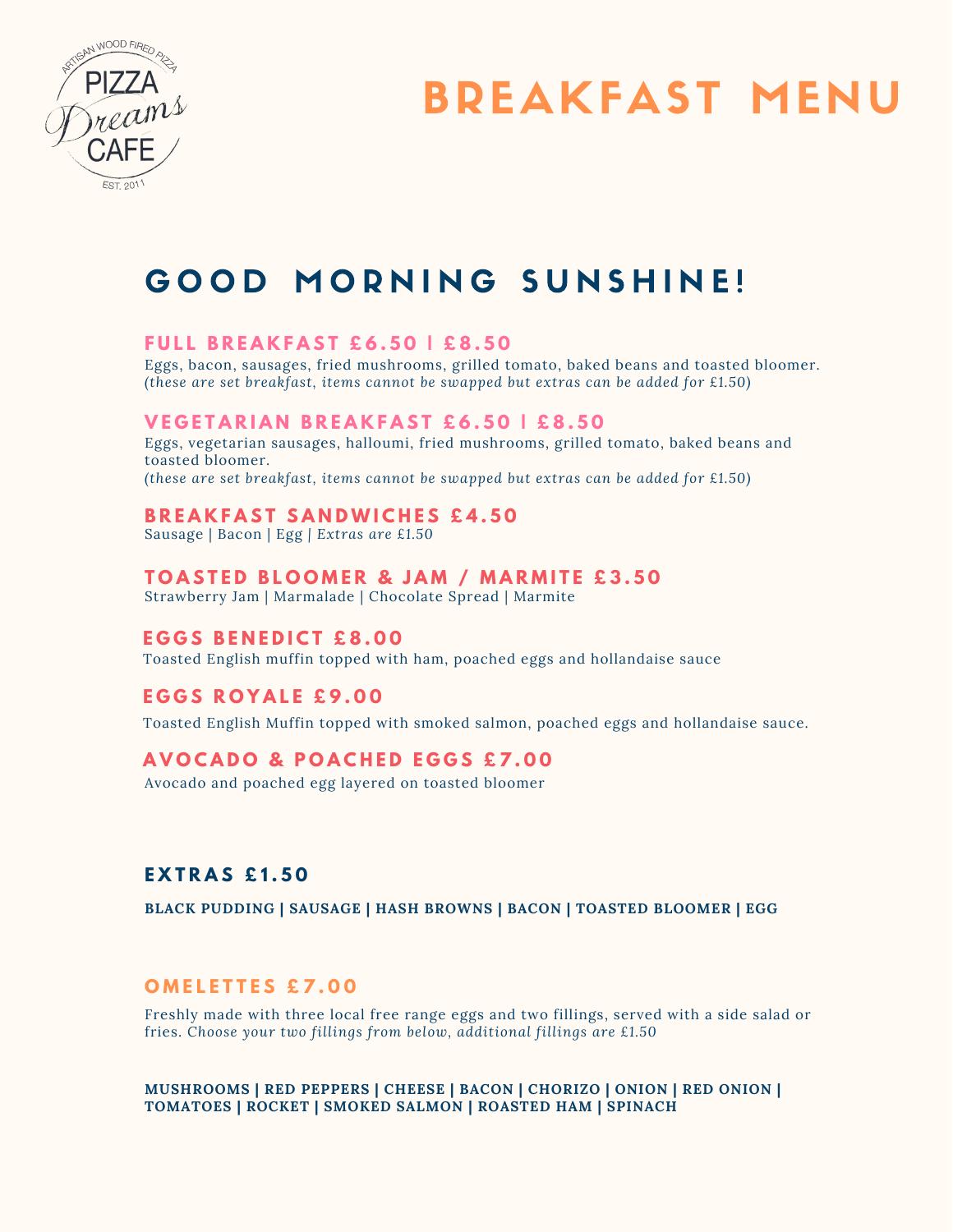

# BREAKFAST MENU

### GOOD MORNING SUNSHINE!

#### **F U L L B R E A K F A S T £ 6 . 5 0 | £ 8 . 5 0**

Eggs, bacon, sausages, fried mushrooms, grilled tomato, baked beans and toasted bloomer. *(these are set breakfast, items cannot be swapped but extras can be added for £1.50)*

#### **VEGETARIAN BREAKFAST £6.50 | £8.50**

Eggs, vegetarian sausages, halloumi, fried mushrooms, grilled tomato, baked beans and toasted bloomer.

*(these are set breakfast, items cannot be swapped but extras can be added for £1.50)*

#### **B R E A K F A S T S A N D W I C H E S £ 4 . 5 0**

Sausage | Bacon | Egg *| Extras are £1.50*

#### **TOASTED BLOOMER & JAM / MARMITE £3.50**

Strawberry Jam | Marmalade | Chocolate Spread | Marmite

#### **E G G S B E N E D I C T £ 8 . 0 0**

Toasted English muffin topped with ham, poached eggs and hollandaise sauce

#### **E G G S R O Y A L E £ 9 . 0 0**

Toasted English Muffin topped with smoked salmon, poached eggs and hollandaise sauce.

### **A V O C A D O & P O A C H E D E G G S £ 7 . 0 0**

Avocado and poached egg layered on toasted bloomer

### **E X T R A S £ 1 . 5 0**

**BLACK PUDDING | SAUSAGE | HASH BROWNS | BACON | TOASTED BLOOMER | EGG**

#### **O M E L E T T E S £ 7 . 0 0**

Freshly made with three local free range eggs and two fillings, served with a side salad or fries. *Choose your two fillings from below, additional fillings are £1.50*

**MUSHROOMS | RED PEPPERS | CHEESE | BACON | CHORIZO | ONION | RED ONION | TOMATOES | ROCKET | SMOKED SALMON | ROASTED HAM | SPINACH**